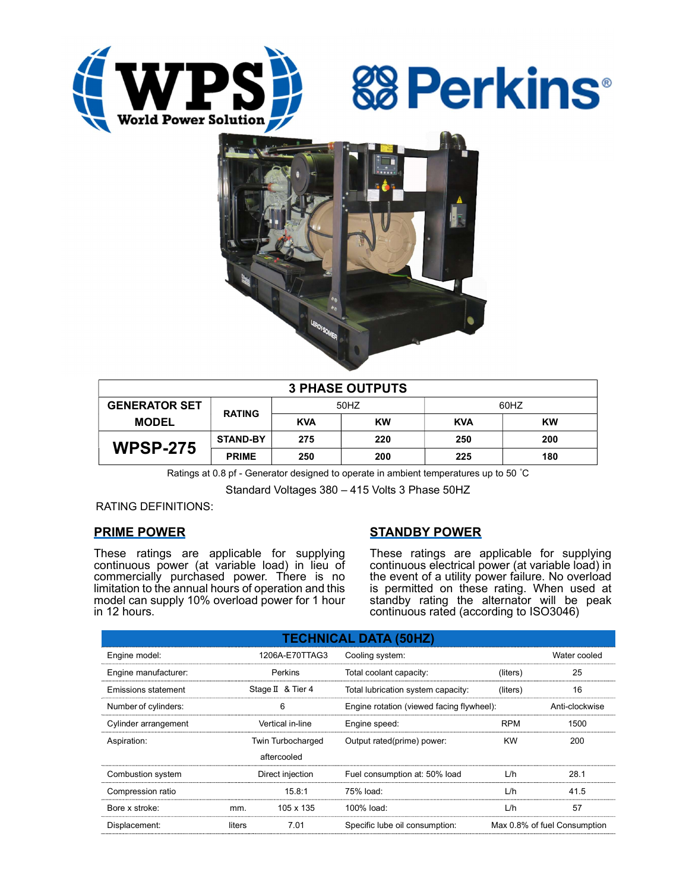





| <b>3 PHASE OUTPUTS</b> |                 |            |     |            |           |  |  |  |
|------------------------|-----------------|------------|-----|------------|-----------|--|--|--|
| <b>GENERATOR SET</b>   | <b>RATING</b>   | 50HZ       |     | 60HZ       |           |  |  |  |
| <b>MODEL</b>           |                 | <b>KVA</b> | KW  | <b>KVA</b> | <b>KW</b> |  |  |  |
| <b>WPSP-275</b>        | <b>STAND-BY</b> | 275        | 220 | 250        | 200       |  |  |  |
|                        | <b>PRIME</b>    | 250        | 200 | 225        | 180       |  |  |  |

Ratings at 0.8 pf - Generator designed to operate in ambient temperatures up to 50 °C

Standard Voltages 380 – 415 Volts 3 Phase 50HZ

RATING DEFINITIONS:

# PRIME POWER

These ratings are applicable for supplying continuous power (at variable load) in lieu of commercially purchased power. There is no limitation to the annual hours of operation and this model can supply 10% overload power for 1 hour in 12 hours.

# STANDBY POWER

These ratings are applicable for supplying continuous electrical power (at variable load) in the event of a utility power failure. No overload is permitted on these rating. When used at standby rating the alternator will be peak continuous rated (according to ISO3046)

| <b>TECHNICAL DATA (50HZ)</b> |                   |                   |                                           |                              |      |  |  |  |  |  |
|------------------------------|-------------------|-------------------|-------------------------------------------|------------------------------|------|--|--|--|--|--|
| Engine model:                | 1206A-E70TTAG3    |                   | Cooling system:                           | Water cooled                 |      |  |  |  |  |  |
| Engine manufacturer:         | Perkins           |                   | Total coolant capacity:                   | (liters)                     | 25   |  |  |  |  |  |
| Emissions statement          |                   | Stage II & Tier 4 | Total lubrication system capacity:        | (liters)                     | 16   |  |  |  |  |  |
| Number of cylinders:         |                   | 6                 | Engine rotation (viewed facing flywheel): | Anti-clockwise               |      |  |  |  |  |  |
| Cylinder arrangement         |                   | Vertical in-line  | Engine speed:                             | <b>RPM</b>                   | 1500 |  |  |  |  |  |
| Aspiration:                  | Twin Turbocharged |                   | Output rated(prime) power:                | <b>KW</b>                    | 200  |  |  |  |  |  |
| aftercooled                  |                   |                   |                                           |                              |      |  |  |  |  |  |
| Combustion system            | Direct injection  |                   | Fuel consumption at: 50% load             | L/h                          | 28.1 |  |  |  |  |  |
| Compression ratio            |                   | 15.8:1            | 75% load:                                 | L/h                          | 41.5 |  |  |  |  |  |
| Bore x stroke:               | mm.               | 105 x 135         | 100% load:                                | L/h                          | 57   |  |  |  |  |  |
| Displacement:                | liters            | 7.01              | Specific lube oil consumption:            | Max 0.8% of fuel Consumption |      |  |  |  |  |  |